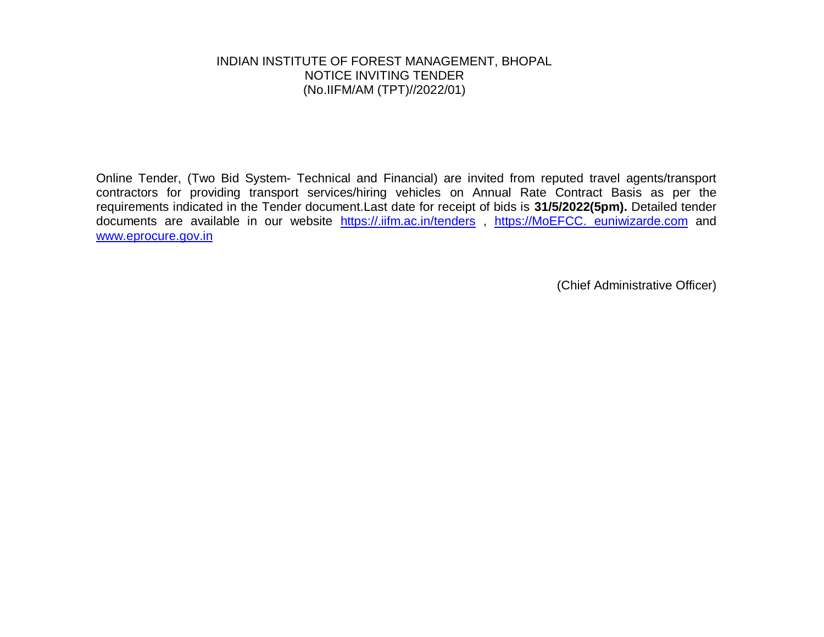## INDIAN INSTITUTE OF FOREST MANAGEMENT, BHOPAL NOTICE INVITING TENDER (No.IIFM/AM (TPT)//2022/01)

Online Tender, (Two Bid System- Technical and Financial) are invited from reputed travel agents/transport contractors for providing transport services/hiring vehicles on Annual Rate Contract Basis as per the requirements indicated in the Tender document.Last date for receipt of bids is **31/5/2022(5pm).** Detailed tender documents are available in our website <https://.iifm.ac.in/tenders> , https://MoEFCC. euniwizarde.com and [www.eprocure.gov.in](http://www.eprocure.gov.in/)

(Chief Administrative Officer)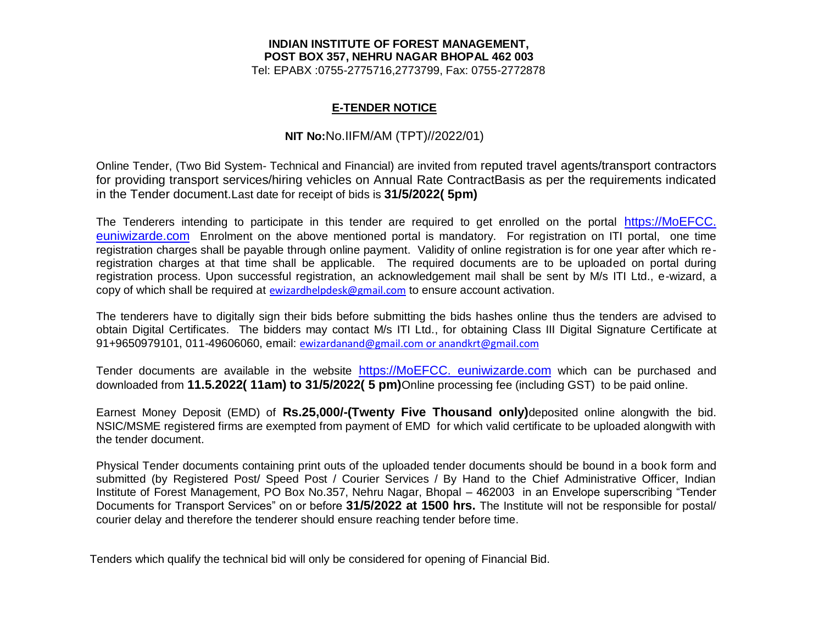#### **INDIAN INSTITUTE OF FOREST MANAGEMENT, POST BOX 357, NEHRU NAGAR BHOPAL 462 003**

Tel: EPABX :0755-2775716,2773799, Fax: 0755-2772878

#### **E-TENDER NOTICE**

### **NIT No:**No.IIFM/AM (TPT)//2022/01)

Online Tender, (Two Bid System- Technical and Financial) are invited from reputed travel agents/transport contractors for providing transport services/hiring vehicles on Annual Rate ContractBasis as per the requirements indicated in the Tender document.Last date for receipt of bids is **31/5/2022( 5pm)**

The Tenderers intending to participate in this tender are required to get enrolled on the portal https://MoEFCC. euniwizarde.com Enrolment on the above mentioned portal is mandatory. For registration on ITI portal, one time registration charges shall be payable through online payment. Validity of online registration is for one year after which reregistration charges at that time shall be applicable. The required documents are to be uploaded on portal during registration process. Upon successful registration, an acknowledgement mail shall be sent by M/s ITI Ltd., e-wizard, a copy of which shall be required at [ewizardhelpdesk@gmail.com](mailto:ewizardhelpdesk@gmail.com) to ensure account activation.

The tenderers have to digitally sign their bids before submitting the bids hashes online thus the tenders are advised to obtain Digital Certificates. The bidders may contact M/s ITI Ltd., for obtaining Class III Digital Signature Certificate at 91+9650979101, 011-49606060, email: [ewizardanand@gmail.com](mailto:ewizardanand@gmail.com) or anandkrt@gmail.com

Tender documents are available in the website https://MoEFCC. euniwizarde.com which can be purchased and downloaded from **11.5.2022( 11am) to 31/5/2022( 5 pm)**Online processing fee (including GST) to be paid online.

Earnest Money Deposit (EMD) of **Rs.25,000/-(Twenty Five Thousand only)**deposited online alongwith the bid. NSIC/MSME registered firms are exempted from payment of EMD for which valid certificate to be uploaded alongwith with the tender document.

Physical Tender documents containing print outs of the uploaded tender documents should be bound in a book form and submitted (by Registered Post/ Speed Post / Courier Services / By Hand to the Chief Administrative Officer, Indian Institute of Forest Management, PO Box No.357, Nehru Nagar, Bhopal – 462003 in an Envelope superscribing "Tender Documents for Transport Services" on or before **31/5/2022 at 1500 hrs.** The Institute will not be responsible for postal/ courier delay and therefore the tenderer should ensure reaching tender before time.

Tenders which qualify the technical bid will only be considered for opening of Financial Bid.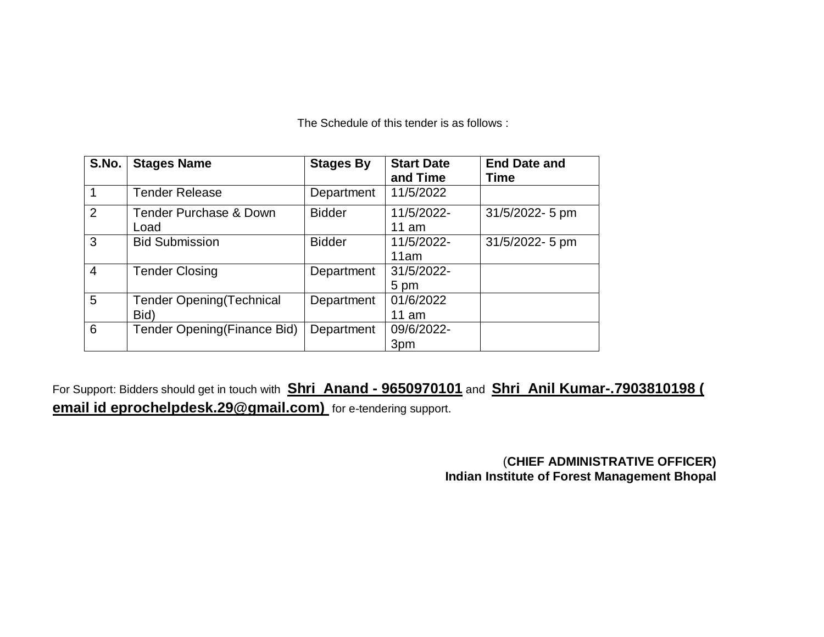The Schedule of this tender is as follows :

| S.No.          | <b>Stages Name</b>                        | <b>Stages By</b> | <b>Start Date</b><br>and Time | <b>End Date and</b><br>Time |
|----------------|-------------------------------------------|------------------|-------------------------------|-----------------------------|
| 1              | <b>Tender Release</b>                     | Department       | 11/5/2022                     |                             |
| 2              | <b>Tender Purchase &amp; Down</b><br>Load | <b>Bidder</b>    | 11/5/2022-<br>11 am           | 31/5/2022-5 pm              |
| 3              | <b>Bid Submission</b>                     | <b>Bidder</b>    | 11/5/2022-<br>11am            | 31/5/2022- 5 pm             |
| $\overline{4}$ | <b>Tender Closing</b>                     | Department       | 31/5/2022-<br>5 pm            |                             |
| 5              | <b>Tender Opening (Technical</b><br>Bid)  | Department       | 01/6/2022<br>11 am            |                             |
| 6              | Tender Opening (Finance Bid)              | Department       | 09/6/2022-<br>3pm             |                             |

For Support: Bidders should get in touch with **Shri Anand - 9650970101** and **Shri Anil Kumar-.7903810198 ( email id eprochelpdesk.29@gmail.com)** for e-tendering support.

> (**CHIEF ADMINISTRATIVE OFFICER) Indian Institute of Forest Management Bhopal**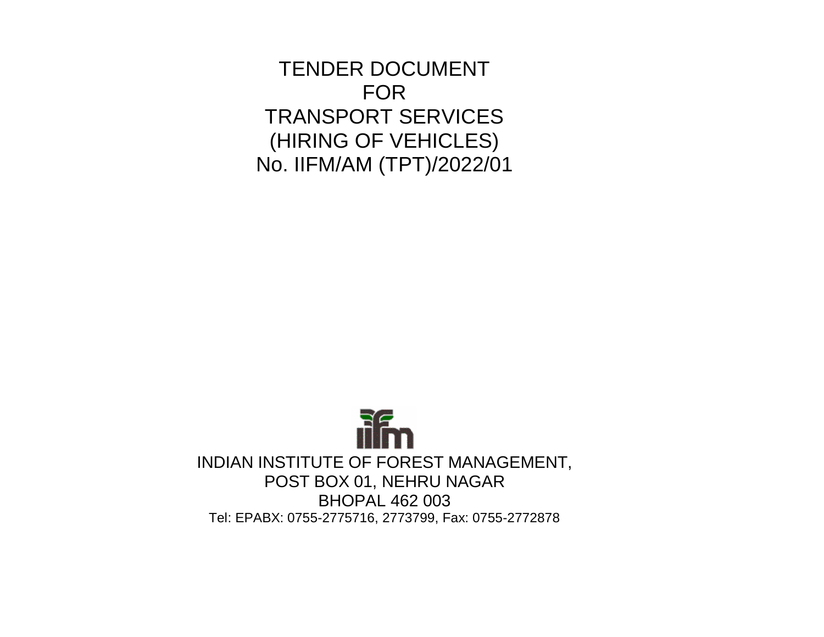TENDER DOCUMENT FOR TRANSPORT SERVICES (HIRING OF VEHICLES) No. IIFM/AM (TPT)/2022/01

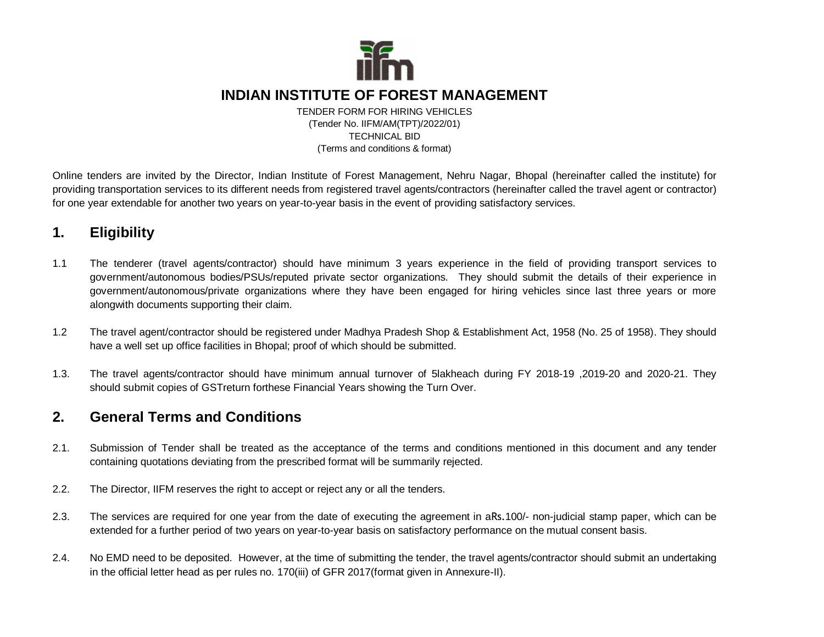

TENDER FORM FOR HIRING VEHICLES (Tender No. IIFM/AM(TPT)/2022/01) TECHNICAL BID (Terms and conditions & format)

Online tenders are invited by the Director, Indian Institute of Forest Management, Nehru Nagar, Bhopal (hereinafter called the institute) for providing transportation services to its different needs from registered travel agents/contractors (hereinafter called the travel agent or contractor) for one year extendable for another two years on year-to-year basis in the event of providing satisfactory services.

# **1. Eligibility**

- 1.1 The tenderer (travel agents/contractor) should have minimum 3 years experience in the field of providing transport services to government/autonomous bodies/PSUs/reputed private sector organizations. They should submit the details of their experience in government/autonomous/private organizations where they have been engaged for hiring vehicles since last three years or more alongwith documents supporting their claim.
- 1.2 The travel agent/contractor should be registered under Madhya Pradesh Shop & Establishment Act, 1958 (No. 25 of 1958). They should have a well set up office facilities in Bhopal; proof of which should be submitted.
- 1.3. The travel agents/contractor should have minimum annual turnover of 5lakheach during FY 2018-19 ,2019-20 and 2020-21. They should submit copies of GSTreturn forthese Financial Years showing the Turn Over.

## **2. General Terms and Conditions**

- 2.1. Submission of Tender shall be treated as the acceptance of the terms and conditions mentioned in this document and any tender containing quotations deviating from the prescribed format will be summarily rejected.
- 2.2. The Director, IIFM reserves the right to accept or reject any or all the tenders.
- 2.3. The services are required for one year from the date of executing the agreement in aRs.100/- non-judicial stamp paper, which can be extended for a further period of two years on year-to-year basis on satisfactory performance on the mutual consent basis.
- 2.4. No EMD need to be deposited. However, at the time of submitting the tender, the travel agents/contractor should submit an undertaking in the official letter head as per rules no. 170(iii) of GFR 2017(format given in Annexure-II).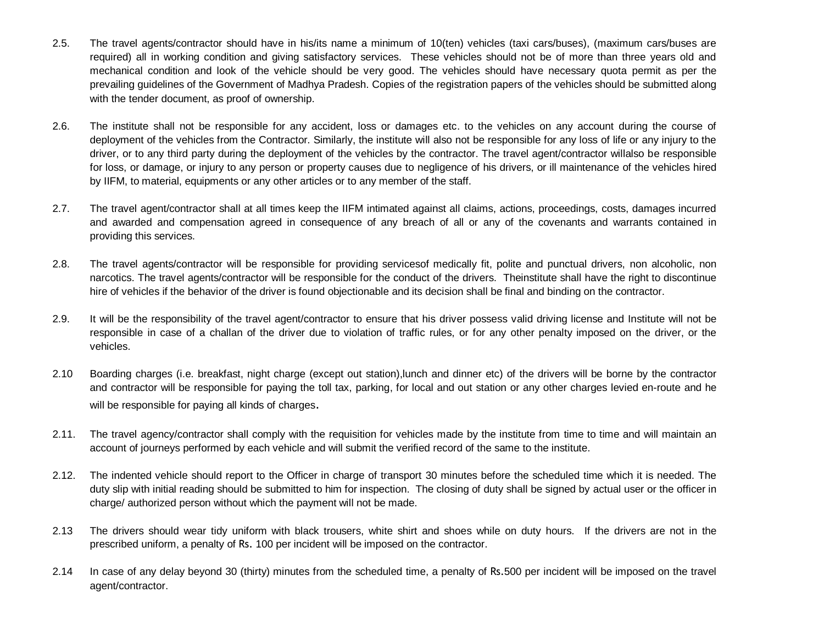- 2.5. The travel agents/contractor should have in his/its name a minimum of 10(ten) vehicles (taxi cars/buses), (maximum cars/buses are required) all in working condition and giving satisfactory services. These vehicles should not be of more than three years old and mechanical condition and look of the vehicle should be very good. The vehicles should have necessary quota permit as per the prevailing guidelines of the Government of Madhya Pradesh. Copies of the registration papers of the vehicles should be submitted along with the tender document, as proof of ownership.
- 2.6. The institute shall not be responsible for any accident, loss or damages etc. to the vehicles on any account during the course of deployment of the vehicles from the Contractor. Similarly, the institute will also not be responsible for any loss of life or any injury to the driver, or to any third party during the deployment of the vehicles by the contractor. The travel agent/contractor willalso be responsible for loss, or damage, or injury to any person or property causes due to negligence of his drivers, or ill maintenance of the vehicles hired by IIFM, to material, equipments or any other articles or to any member of the staff.
- 2.7. The travel agent/contractor shall at all times keep the IIFM intimated against all claims, actions, proceedings, costs, damages incurred and awarded and compensation agreed in consequence of any breach of all or any of the covenants and warrants contained in providing this services.
- 2.8. The travel agents/contractor will be responsible for providing servicesof medically fit, polite and punctual drivers, non alcoholic, non narcotics. The travel agents/contractor will be responsible for the conduct of the drivers. Theinstitute shall have the right to discontinue hire of vehicles if the behavior of the driver is found objectionable and its decision shall be final and binding on the contractor.
- 2.9. It will be the responsibility of the travel agent/contractor to ensure that his driver possess valid driving license and Institute will not be responsible in case of a challan of the driver due to violation of traffic rules, or for any other penalty imposed on the driver, or the vehicles.
- 2.10 Boarding charges (i.e. breakfast, night charge (except out station),lunch and dinner etc) of the drivers will be borne by the contractor and contractor will be responsible for paying the toll tax, parking, for local and out station or any other charges levied en-route and he will be responsible for paying all kinds of charges.
- 2.11. The travel agency/contractor shall comply with the requisition for vehicles made by the institute from time to time and will maintain an account of journeys performed by each vehicle and will submit the verified record of the same to the institute.
- 2.12. The indented vehicle should report to the Officer in charge of transport 30 minutes before the scheduled time which it is needed. The duty slip with initial reading should be submitted to him for inspection. The closing of duty shall be signed by actual user or the officer in charge/ authorized person without which the payment will not be made.
- 2.13 The drivers should wear tidy uniform with black trousers, white shirt and shoes while on duty hours. If the drivers are not in the prescribed uniform, a penalty of Rs. 100 per incident will be imposed on the contractor.
- 2.14 In case of any delay beyond 30 (thirty) minutes from the scheduled time, a penalty of Rs.500 per incident will be imposed on the travel agent/contractor.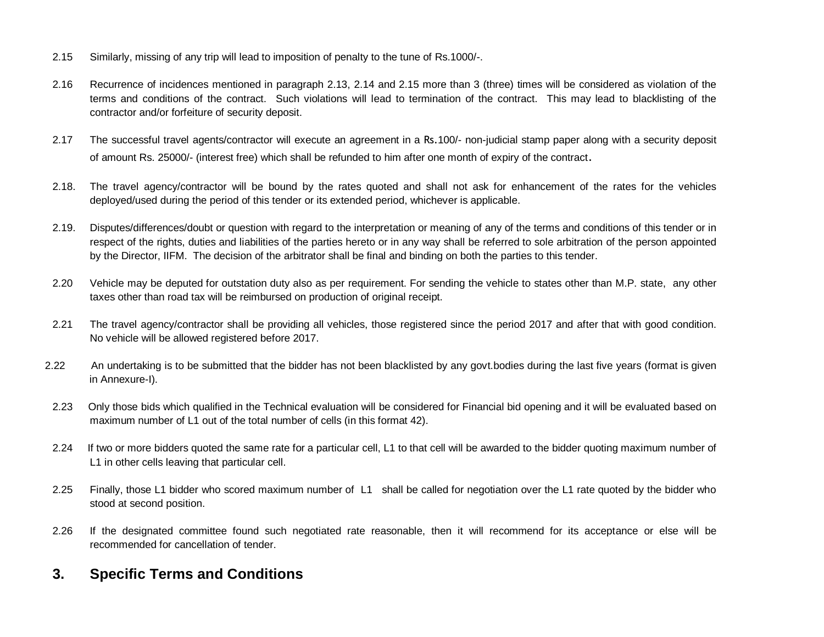- 2.15 Similarly, missing of any trip will lead to imposition of penalty to the tune of Rs.1000/-.
- 2.16 Recurrence of incidences mentioned in paragraph 2.13, 2.14 and 2.15 more than 3 (three) times will be considered as violation of the terms and conditions of the contract. Such violations will lead to termination of the contract. This may lead to blacklisting of the contractor and/or forfeiture of security deposit.
- 2.17 The successful travel agents/contractor will execute an agreement in a Rs.100/- non-judicial stamp paper along with a security deposit of amount Rs. 25000/- (interest free) which shall be refunded to him after one month of expiry of the contract.
- 2.18. The travel agency/contractor will be bound by the rates quoted and shall not ask for enhancement of the rates for the vehicles deployed/used during the period of this tender or its extended period, whichever is applicable.
- 2.19. Disputes/differences/doubt or question with regard to the interpretation or meaning of any of the terms and conditions of this tender or in respect of the rights, duties and liabilities of the parties hereto or in any way shall be referred to sole arbitration of the person appointed by the Director, IIFM. The decision of the arbitrator shall be final and binding on both the parties to this tender.
- 2.20 Vehicle may be deputed for outstation duty also as per requirement. For sending the vehicle to states other than M.P. state, any other taxes other than road tax will be reimbursed on production of original receipt.
- 2.21 The travel agency/contractor shall be providing all vehicles, those registered since the period 2017 and after that with good condition. No vehicle will be allowed registered before 2017.
- 2.22 An undertaking is to be submitted that the bidder has not been blacklisted by any govt.bodies during the last five years (format is given in Annexure-I).
- 2.23 Only those bids which qualified in the Technical evaluation will be considered for Financial bid opening and it will be evaluated based on maximum number of L1 out of the total number of cells (in this format 42).
- 2.24 If two or more bidders quoted the same rate for a particular cell, L1 to that cell will be awarded to the bidder quoting maximum number of L1 in other cells leaving that particular cell.
- 2.25 Finally, those L1 bidder who scored maximum number of L1 shall be called for negotiation over the L1 rate quoted by the bidder who stood at second position.
- 2.26 If the designated committee found such negotiated rate reasonable, then it will recommend for its acceptance or else will be recommended for cancellation of tender.

## **3. Specific Terms and Conditions**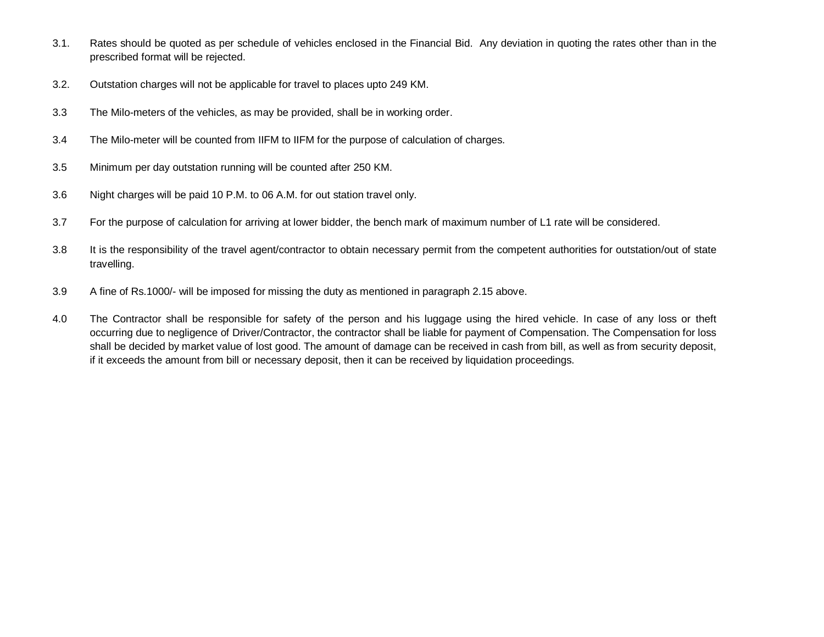- 3.1. Rates should be quoted as per schedule of vehicles enclosed in the Financial Bid. Any deviation in quoting the rates other than in the prescribed format will be rejected.
- 3.2. Outstation charges will not be applicable for travel to places upto 249 KM.
- 3.3 The Milo-meters of the vehicles, as may be provided, shall be in working order.
- 3.4 The Milo-meter will be counted from IIFM to IIFM for the purpose of calculation of charges.
- 3.5 Minimum per day outstation running will be counted after 250 KM.
- 3.6 Night charges will be paid 10 P.M. to 06 A.M. for out station travel only.
- 3.7 For the purpose of calculation for arriving at lower bidder, the bench mark of maximum number of L1 rate will be considered.
- 3.8 It is the responsibility of the travel agent/contractor to obtain necessary permit from the competent authorities for outstation/out of state travelling.
- 3.9 A fine of Rs.1000/- will be imposed for missing the duty as mentioned in paragraph 2.15 above.
- 4.0 The Contractor shall be responsible for safety of the person and his luggage using the hired vehicle. In case of any loss or theft occurring due to negligence of Driver/Contractor, the contractor shall be liable for payment of Compensation. The Compensation for loss shall be decided by market value of lost good. The amount of damage can be received in cash from bill, as well as from security deposit, if it exceeds the amount from bill or necessary deposit, then it can be received by liquidation proceedings.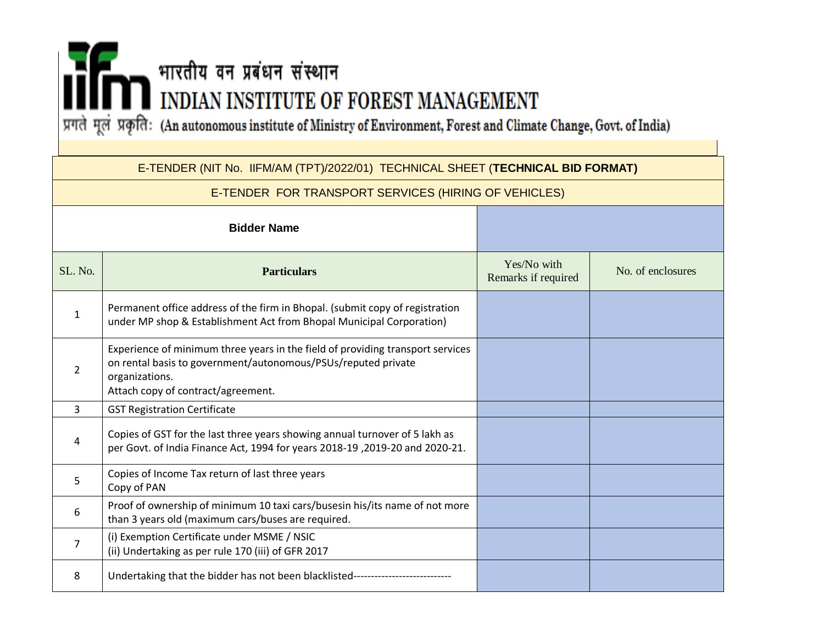# ्र भारतीय वन प्रबंधन संस्थान INDIAN INSTITUTE OF FOREST MANAGEMENT

प्रगते मूलं प्रकृति: (An autonomous institute of Ministry of Environment, Forest and Climate Change, Govt. of India)

| E-TENDER (NIT No. IIFM/AM (TPT)/2022/01) TECHNICAL SHEET (TECHNICAL BID FORMAT) |                                                                                                                                                                                                         |                                    |                   |  |
|---------------------------------------------------------------------------------|---------------------------------------------------------------------------------------------------------------------------------------------------------------------------------------------------------|------------------------------------|-------------------|--|
| E-TENDER FOR TRANSPORT SERVICES (HIRING OF VEHICLES)                            |                                                                                                                                                                                                         |                                    |                   |  |
|                                                                                 | <b>Bidder Name</b>                                                                                                                                                                                      |                                    |                   |  |
| SL. No.                                                                         | <b>Particulars</b>                                                                                                                                                                                      | Yes/No with<br>Remarks if required | No. of enclosures |  |
| $\mathbf{1}$                                                                    | Permanent office address of the firm in Bhopal. (submit copy of registration<br>under MP shop & Establishment Act from Bhopal Municipal Corporation)                                                    |                                    |                   |  |
| $\overline{2}$                                                                  | Experience of minimum three years in the field of providing transport services<br>on rental basis to government/autonomous/PSUs/reputed private<br>organizations.<br>Attach copy of contract/agreement. |                                    |                   |  |
| 3                                                                               | <b>GST Registration Certificate</b>                                                                                                                                                                     |                                    |                   |  |
| 4                                                                               | Copies of GST for the last three years showing annual turnover of 5 lakh as<br>per Govt. of India Finance Act, 1994 for years 2018-19, 2019-20 and 2020-21.                                             |                                    |                   |  |
| 5                                                                               | Copies of Income Tax return of last three years<br>Copy of PAN                                                                                                                                          |                                    |                   |  |
| 6                                                                               | Proof of ownership of minimum 10 taxi cars/busesin his/its name of not more<br>than 3 years old (maximum cars/buses are required.                                                                       |                                    |                   |  |
| 7                                                                               | (i) Exemption Certificate under MSME / NSIC<br>(ii) Undertaking as per rule 170 (iii) of GFR 2017                                                                                                       |                                    |                   |  |
| 8                                                                               | Undertaking that the bidder has not been blacklisted--------------------------                                                                                                                          |                                    |                   |  |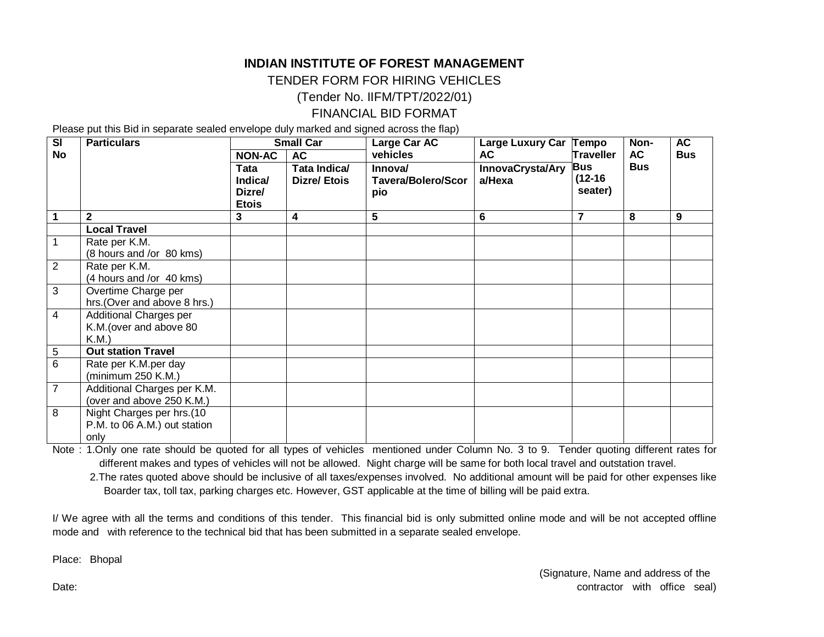## **INDIAN INSTITUTE OF FOREST MANAGEMENT** TENDER FORM FOR HIRING VEHICLES (Tender No. IIFM/TPT/2022/01) FINANCIAL BID FORMAT

Please put this Bid in separate sealed envelope duly marked and signed across the flap)

| $\overline{\mathbf{s}}$ | <b>Particulars</b>                                                | <b>Small Car</b>                          |                                    | Large Car AC                                | Large Luxury Car Tempo     |                               | Non-       | <b>AC</b>  |
|-------------------------|-------------------------------------------------------------------|-------------------------------------------|------------------------------------|---------------------------------------------|----------------------------|-------------------------------|------------|------------|
| <b>No</b>               |                                                                   | <b>NON-AC</b>                             | <b>AC</b>                          | vehicles                                    | <b>AC</b>                  | <b>Traveller</b>              | <b>AC</b>  | <b>Bus</b> |
|                         |                                                                   | Tata<br>Indica/<br>Dizre/<br><b>Etois</b> | Tata Indica/<br><b>Dizre/Etois</b> | Innova/<br><b>Tavera/Bolero/Scor</b><br>pio | InnovaCrysta/Ary<br>a/Hexa | Bus<br>$(12 - 16)$<br>seater) | <b>Bus</b> |            |
| 1                       | $\mathbf{2}$                                                      | 3                                         | 4                                  | 5                                           | 6                          | $\overline{7}$                | 8          | 9          |
|                         | <b>Local Travel</b>                                               |                                           |                                    |                                             |                            |                               |            |            |
|                         | Rate per K.M.<br>(8 hours and /or 80 kms)                         |                                           |                                    |                                             |                            |                               |            |            |
| $\overline{2}$          | Rate per K.M.                                                     |                                           |                                    |                                             |                            |                               |            |            |
|                         | (4 hours and /or 40 kms)                                          |                                           |                                    |                                             |                            |                               |            |            |
| 3                       | Overtime Charge per<br>hrs. (Over and above 8 hrs.)               |                                           |                                    |                                             |                            |                               |            |            |
| 4                       | Additional Charges per<br>K.M. (over and above 80<br>$K.M.$ )     |                                           |                                    |                                             |                            |                               |            |            |
| 5                       | <b>Out station Travel</b>                                         |                                           |                                    |                                             |                            |                               |            |            |
| 6                       | Rate per K.M.per day<br>(minimum 250 K.M.)                        |                                           |                                    |                                             |                            |                               |            |            |
| $\overline{7}$          | Additional Charges per K.M.<br>(over and above 250 K.M.)          |                                           |                                    |                                             |                            |                               |            |            |
| 8                       | Night Charges per hrs.(10<br>P.M. to 06 A.M.) out station<br>only |                                           |                                    |                                             |                            |                               |            |            |

Note : 1.Only one rate should be quoted for all types of vehicles mentioned under Column No. 3 to 9. Tender quoting different rates for different makes and types of vehicles will not be allowed. Night charge will be same for both local travel and outstation travel.

2.The rates quoted above should be inclusive of all taxes/expenses involved. No additional amount will be paid for other expenses like Boarder tax, toll tax, parking charges etc. However, GST applicable at the time of billing will be paid extra.

I/ We agree with all the terms and conditions of this tender. This financial bid is only submitted online mode and will be not accepted offline mode and with reference to the technical bid that has been submitted in a separate sealed envelope.

Place: Bhopal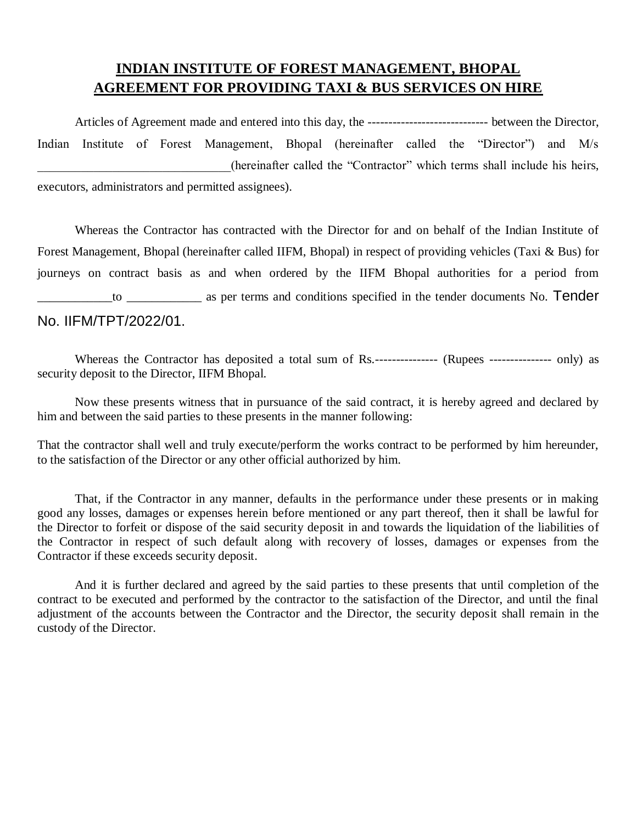## **INDIAN INSTITUTE OF FOREST MANAGEMENT, BHOPAL AGREEMENT FOR PROVIDING TAXI & BUS SERVICES ON HIRE**

Articles of Agreement made and entered into this day, the ----------------------------- between the Director, Indian Institute of Forest Management, Bhopal (hereinafter called the "Director") and M/s \_\_\_\_\_\_\_\_\_\_\_\_\_\_\_\_\_\_\_\_\_\_\_\_\_\_\_\_\_\_\_(hereinafter called the "Contractor" which terms shall include his heirs, executors, administrators and permitted assignees).

Whereas the Contractor has contracted with the Director for and on behalf of the Indian Institute of Forest Management, Bhopal (hereinafter called IIFM, Bhopal) in respect of providing vehicles (Taxi & Bus) for journeys on contract basis as and when ordered by the IIFM Bhopal authorities for a period from to as per terms and conditions specified in the tender documents No. Tender No. IIFM/TPT/2022/01.

Whereas the Contractor has deposited a total sum of Rs.--------------- (Rupees --------------- only) as security deposit to the Director, IIFM Bhopal.

Now these presents witness that in pursuance of the said contract, it is hereby agreed and declared by him and between the said parties to these presents in the manner following:

That the contractor shall well and truly execute/perform the works contract to be performed by him hereunder, to the satisfaction of the Director or any other official authorized by him.

That, if the Contractor in any manner, defaults in the performance under these presents or in making good any losses, damages or expenses herein before mentioned or any part thereof, then it shall be lawful for the Director to forfeit or dispose of the said security deposit in and towards the liquidation of the liabilities of the Contractor in respect of such default along with recovery of losses, damages or expenses from the Contractor if these exceeds security deposit.

And it is further declared and agreed by the said parties to these presents that until completion of the contract to be executed and performed by the contractor to the satisfaction of the Director, and until the final adjustment of the accounts between the Contractor and the Director, the security deposit shall remain in the custody of the Director.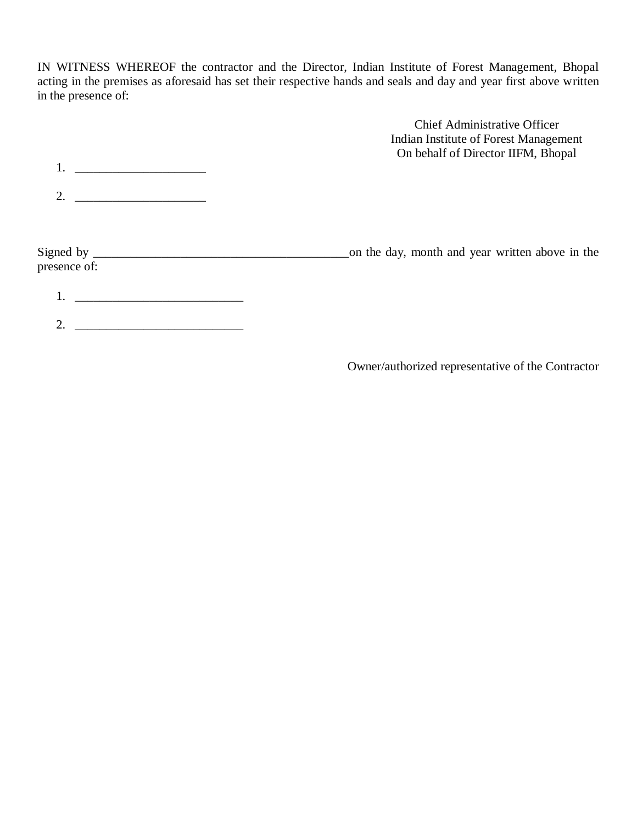IN WITNESS WHEREOF the contractor and the Director, Indian Institute of Forest Management, Bhopal acting in the premises as aforesaid has set their respective hands and seals and day and year first above written in the presence of:

|                                                                                                                                                                                                                                      | <b>Chief Administrative Officer</b><br>Indian Institute of Forest Management<br>On behalf of Director IIFM, Bhopal |
|--------------------------------------------------------------------------------------------------------------------------------------------------------------------------------------------------------------------------------------|--------------------------------------------------------------------------------------------------------------------|
| <u> 1989 - Johann Harry Harry Harry Harry Harry Harry Harry Harry Harry Harry Harry Harry Harry Harry Harry Harry Harry Harry Harry Harry Harry Harry Harry Harry Harry Harry Harry Harry Harry Harry Harry Harry Harry Harry Ha</u> |                                                                                                                    |
| <u> 1980 - Andrea Albert III, am bhliain 1980 - Chaidh Aonaichte ann an t-</u>                                                                                                                                                       |                                                                                                                    |
| presence of:                                                                                                                                                                                                                         | on the day, month and year written above in the                                                                    |
| <u> 1980 - Jan Barnett, fransk politiker (d. 1980)</u>                                                                                                                                                                               |                                                                                                                    |
| <u> 1980 - Johann Barbara, martxa alemaniar populari (</u>                                                                                                                                                                           |                                                                                                                    |

Owner/authorized representative of the Contractor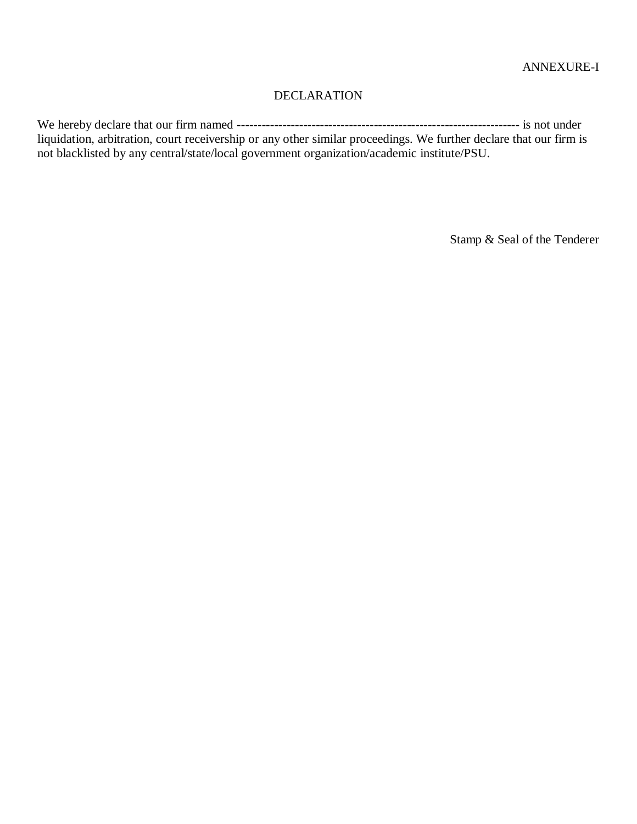## DECLARATION

We hereby declare that our firm named -------------------------------------------------------------------- is not under liquidation, arbitration, court receivership or any other similar proceedings. We further declare that our firm is not blacklisted by any central/state/local government organization/academic institute/PSU.

Stamp & Seal of the Tenderer